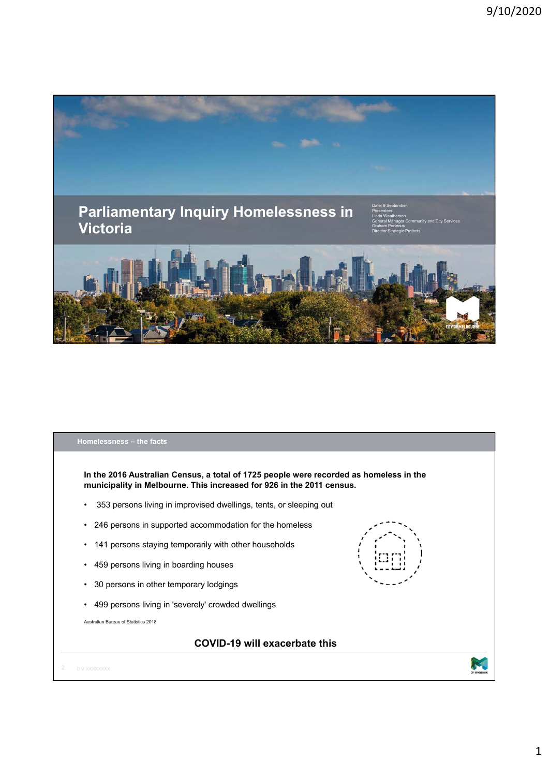

## **Homelessness – the facts**

**In the 2016 Australian Census, a total of 1725 people were recorded as homeless in the municipality in Melbourne. This increased for 926 in the 2011 census.**

- 353 persons living in improvised dwellings, tents, or sleeping out
- 246 persons in supported accommodation for the homeless
- 141 persons staying temporarily with other households
- 459 persons living in boarding houses
- 30 persons in other temporary lodgings
- 499 persons living in 'severely' crowded dwellings

Australian Bureau of Statistics 2018

## **COVID-19 will exacerbate this**

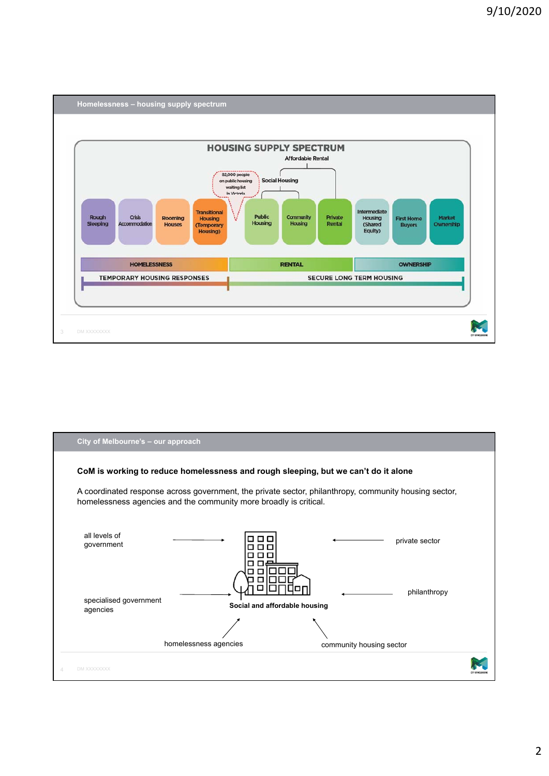

| City of Melbourne's - our approach                                                                                                                                         |                               |                          |                |
|----------------------------------------------------------------------------------------------------------------------------------------------------------------------------|-------------------------------|--------------------------|----------------|
| CoM is working to reduce homelessness and rough sleeping, but we can't do it alone                                                                                         |                               |                          |                |
| A coordinated response across government, the private sector, philanthropy, community housing sector,<br>homelessness agencies and the community more broadly is critical. |                               |                          |                |
| all levels of<br>government                                                                                                                                                | п                             |                          | private sector |
| specialised government<br>agencies                                                                                                                                         | Social and affordable housing |                          | philanthropy   |
|                                                                                                                                                                            | homelessness agencies         | community housing sector |                |
| DM XXXXXXXX                                                                                                                                                                |                               |                          |                |

## 2